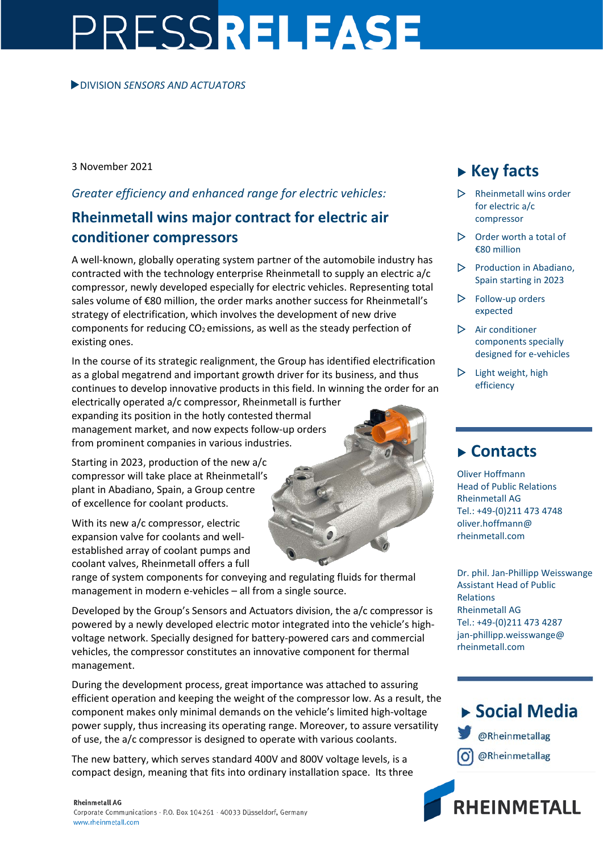# PRESSRELEASE

#### DIVISION *SENSORS AND ACTUATORS*

3 November 2021

#### *Greater efficiency and enhanced range for electric vehicles:*

## **Rheinmetall wins major contract for electric air conditioner compressors**

A well-known, globally operating system partner of the automobile industry has contracted with the technology enterprise Rheinmetall to supply an electric a/c compressor, newly developed especially for electric vehicles. Representing total sales volume of €80 million, the order marks another success for Rheinmetall's strategy of electrification, which involves the development of new drive components for reducing  $CO<sub>2</sub>$  emissions, as well as the steady perfection of existing ones.

In the course of its strategic realignment, the Group has identified electrification as a global megatrend and important growth driver for its business, and thus continues to develop innovative products in this field. In winning the order for an

electrically operated a/c compressor, Rheinmetall is further expanding its position in the hotly contested thermal management market, and now expects follow-up orders from prominent companies in various industries.

Starting in 2023, production of the new a/c compressor will take place at Rheinmetall's plant in Abadiano, Spain, a Group centre of excellence for coolant products.

With its new a/c compressor, electric expansion valve for coolants and wellestablished array of coolant pumps and coolant valves, Rheinmetall offers a full

range of system components for conveying and regulating fluids for thermal management in modern e-vehicles – all from a single source.

Developed by the Group's Sensors and Actuators division, the a/c compressor is powered by a newly developed electric motor integrated into the vehicle's highvoltage network. Specially designed for battery-powered cars and commercial vehicles, the compressor constitutes an innovative component for thermal management.

During the development process, great importance was attached to assuring efficient operation and keeping the weight of the compressor low. As a result, the component makes only minimal demands on the vehicle's limited high-voltage power supply, thus increasing its operating range. Moreover, to assure versatility of use, the a/c compressor is designed to operate with various coolants.

The new battery, which serves standard 400V and 800V voltage levels, is a compact design, meaning that fits into ordinary installation space. Its three

#### **Rheinmetall AG**

Corporate Communications · P.O. Box 104261 · 40033 Düsseldorf, Germany www.rheinmetall.com

## **Key facts**

- $\triangleright$  Rheinmetall wins order for electric a/c compressor
- $\triangleright$  Order worth a total of €80 million
- $\triangleright$  Production in Abadiano, Spain starting in 2023
- $\triangleright$  Follow-up orders expected
- $\triangleright$  Air conditioner components specially designed for e-vehicles
- $\triangleright$  Light weight, high efficiency

### **Contacts**

Oliver Hoffmann Head of Public Relations Rheinmetall AG Tel.: +49-(0)211 473 4748 oliver.hoffmann@ rheinmetall.com

Dr. phil. Jan-Phillipp Weisswange Assistant Head of Public Relations Rheinmetall AG Tel.: +49-(0)211 473 4287 jan-phillipp.weisswange@ rheinmetall.com